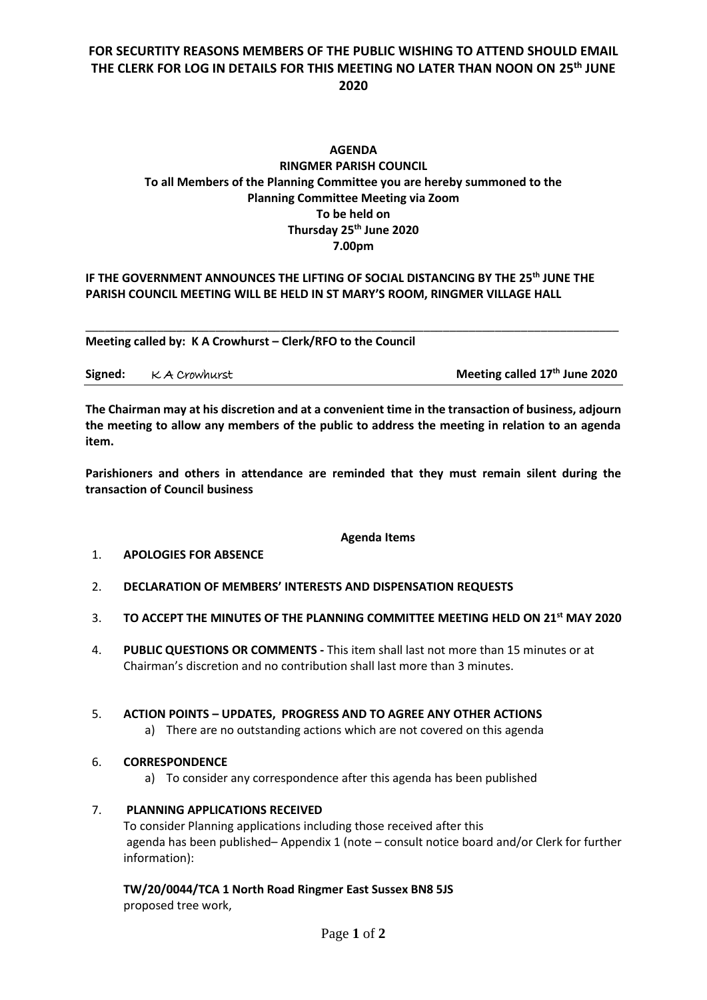# **FOR SECURTITY REASONS MEMBERS OF THE PUBLIC WISHING TO ATTEND SHOULD EMAIL THE CLERK FOR LOG IN DETAILS FOR THIS MEETING NO LATER THAN NOON ON 25 th JUNE 2020**

# **AGENDA RINGMER PARISH COUNCIL To all Members of the Planning Committee you are hereby summoned to the Planning Committee Meeting via Zoom To be held on Thursday 25 th June 2020 7.00pm**

### **IF THE GOVERNMENT ANNOUNCES THE LIFTING OF SOCIAL DISTANCING BY THE 25 th JUNE THE PARISH COUNCIL MEETING WILL BE HELD IN ST MARY'S ROOM, RINGMER VILLAGE HALL**

**Meeting called by: K A Crowhurst – Clerk/RFO to the Council** 

| Signed: KA Crowhurst | Meeting called 17 <sup>th</sup> June 2020 |
|----------------------|-------------------------------------------|
|                      |                                           |

\_\_\_\_\_\_\_\_\_\_\_\_\_\_\_\_\_\_\_\_\_\_\_\_\_\_\_\_\_\_\_\_\_\_\_\_\_\_\_\_\_\_\_\_\_\_\_\_\_\_\_\_\_\_\_\_\_\_\_\_\_\_\_\_\_\_\_\_\_\_\_\_\_\_\_\_\_\_\_\_\_\_

**The Chairman may at his discretion and at a convenient time in the transaction of business, adjourn the meeting to allow any members of the public to address the meeting in relation to an agenda item.**

**Parishioners and others in attendance are reminded that they must remain silent during the transaction of Council business**

### **Agenda Items**

### 1. **APOLOGIES FOR ABSENCE**

- 2. **DECLARATION OF MEMBERS' INTERESTS AND DISPENSATION REQUESTS**
- 3. **TO ACCEPT THE MINUTES OF THE PLANNING COMMITTEE MEETING HELD ON 21 st MAY 2020**
- 4. **PUBLIC QUESTIONS OR COMMENTS -** This item shall last not more than 15 minutes or at Chairman's discretion and no contribution shall last more than 3 minutes.

### 5. **ACTION POINTS – UPDATES, PROGRESS AND TO AGREE ANY OTHER ACTIONS**

a) There are no outstanding actions which are not covered on this agenda

# 6. **CORRESPONDENCE**

a) To consider any correspondence after this agenda has been published

### 7. **PLANNING APPLICATIONS RECEIVED**

To consider Planning applications including those received after this agenda has been published– Appendix 1 (note – consult notice board and/or Clerk for further information):

**TW/20/0044/TCA 1 North Road Ringmer East Sussex BN8 5JS** proposed tree work,